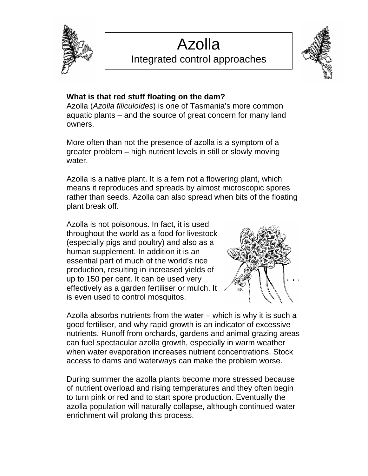

# Azolla Integrated control approaches



## **What is that red stuff floating on the dam?**

Azolla (*Azolla filiculoides*) is one of Tasmania's more common aquatic plants – and the source of great concern for many land owners.

More often than not the presence of azolla is a symptom of a greater problem – high nutrient levels in still or slowly moving water.

Azolla is a native plant. It is a fern not a flowering plant, which means it reproduces and spreads by almost microscopic spores rather than seeds. Azolla can also spread when bits of the floating plant break off.

Azolla is not poisonous. In fact, it is used throughout the world as a food for livestock (especially pigs and poultry) and also as a human supplement. In addition it is an essential part of much of the world's rice production, resulting in increased yields of up to 150 per cent. It can be used very effectively as a garden fertiliser or mulch. It is even used to control mosquitos.



Azolla absorbs nutrients from the water – which is why it is such a good fertiliser, and why rapid growth is an indicator of excessive nutrients. Runoff from orchards, gardens and animal grazing areas can fuel spectacular azolla growth, especially in warm weather when water evaporation increases nutrient concentrations. Stock access to dams and waterways can make the problem worse.

During summer the azolla plants become more stressed because of nutrient overload and rising temperatures and they often begin to turn pink or red and to start spore production. Eventually the azolla population will naturally collapse, although continued water enrichment will prolong this process.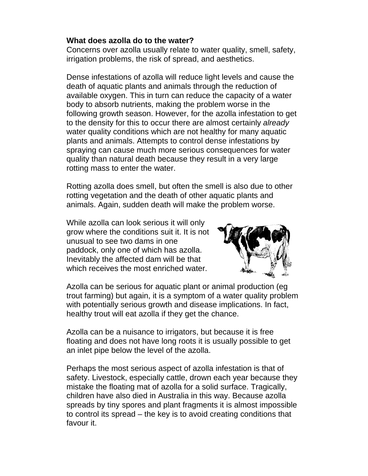#### **What does azolla do to the water?**

Concerns over azolla usually relate to water quality, smell, safety, irrigation problems, the risk of spread, and aesthetics.

Dense infestations of azolla will reduce light levels and cause the death of aquatic plants and animals through the reduction of available oxygen. This in turn can reduce the capacity of a water body to absorb nutrients, making the problem worse in the following growth season. However, for the azolla infestation to get to the density for this to occur there are almost certainly *already*  water quality conditions which are not healthy for many aquatic plants and animals. Attempts to control dense infestations by spraying can cause much more serious consequences for water quality than natural death because they result in a very large rotting mass to enter the water.

Rotting azolla does smell, but often the smell is also due to other rotting vegetation and the death of other aquatic plants and animals. Again, sudden death will make the problem worse.

While azolla can look serious it will only grow where the conditions suit it. It is not unusual to see two dams in one paddock, only one of which has azolla. Inevitably the affected dam will be that which receives the most enriched water.



Azolla can be serious for aquatic plant or animal production (eg trout farming) but again, it is a symptom of a water quality problem with potentially serious growth and disease implications. In fact, healthy trout will eat azolla if they get the chance.

Azolla can be a nuisance to irrigators, but because it is free floating and does not have long roots it is usually possible to get an inlet pipe below the level of the azolla.

Perhaps the most serious aspect of azolla infestation is that of safety. Livestock, especially cattle, drown each year because they mistake the floating mat of azolla for a solid surface. Tragically, children have also died in Australia in this way. Because azolla spreads by tiny spores and plant fragments it is almost impossible to control its spread – the key is to avoid creating conditions that favour it.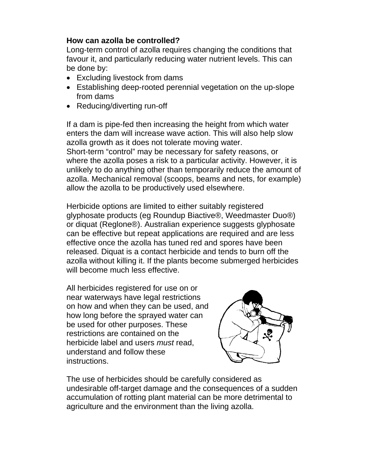#### **How can azolla be controlled?**

Long-term control of azolla requires changing the conditions that favour it, and particularly reducing water nutrient levels. This can be done by:

- Excluding livestock from dams
- Establishing deep-rooted perennial vegetation on the up-slope from dams
- Reducing/diverting run-off

If a dam is pipe-fed then increasing the height from which water enters the dam will increase wave action. This will also help slow azolla growth as it does not tolerate moving water. Short-term "control" may be necessary for safety reasons, or where the azolla poses a risk to a particular activity. However, it is unlikely to do anything other than temporarily reduce the amount of azolla. Mechanical removal (scoops, beams and nets, for example) allow the azolla to be productively used elsewhere.

Herbicide options are limited to either suitably registered glyphosate products (eg Roundup Biactive®, Weedmaster Duo®) or diquat (Reglone®). Australian experience suggests glyphosate can be effective but repeat applications are required and are less effective once the azolla has tuned red and spores have been released. Diquat is a contact herbicide and tends to burn off the azolla without killing it. If the plants become submerged herbicides will become much less effective.

All herbicides registered for use on or near waterways have legal restrictions on how and when they can be used, and how long before the sprayed water can be used for other purposes. These restrictions are contained on the herbicide label and users *must* read, understand and follow these instructions.



The use of herbicides should be carefully considered as undesirable off-target damage and the consequences of a sudden accumulation of rotting plant material can be more detrimental to agriculture and the environment than the living azolla.